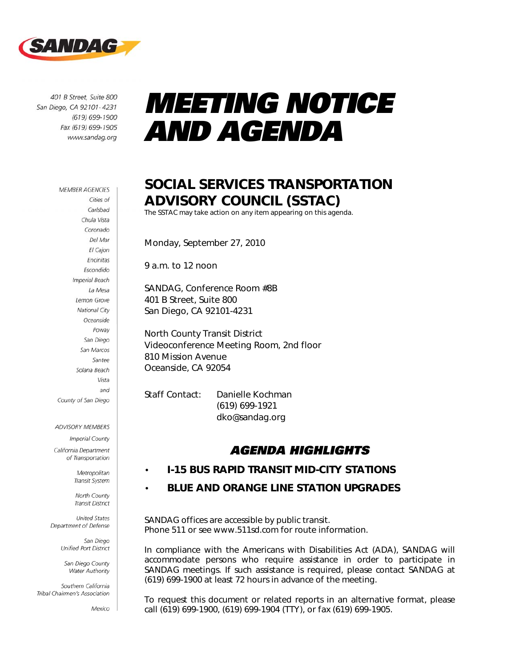

401 B Street, Suite 800 San Diego, CA 92101-4231 (619) 699-1900 Fax (619) 699-1905 www.sandag.org

#### **MEMBER AGENCIES** Cities of Carlsbad Chula Vista Coronado Del Mar El Cajon Encinitas Escondido **Imperial Beach** La Mesa Lemon Grove National City Oceanside Poway San Diego San Marcos Santee Solana Beach Vista and County of San Diego

#### ADVISORY MEMBERS

**Imperial County** California Department of Transportation

Metropolitan

Transit System North County **Transit District** 

**United States** Department of Defense

> San Diego Unified Port District

San Diego County Water Authority

Southern California Tribal Chairmen's Association

Mexico

# *MEETING NOTICE AND AGENDA*

### SOCIAL SERVICES TRANSPORTATION ADVISORY COUNCIL (SSTAC)

The SSTAC may take action on any item appearing on this agenda.

Monday, September 27, 2010

9 a.m. to 12 noon

SANDAG, Conference Room #8B 401 B Street, Suite 800 San Diego, CA 92101-4231

North County Transit District Videoconference Meeting Room, 2nd floor 810 Mission Avenue Oceanside, CA 92054

Staff Contact: Danielle Kochman (619) 699-1921 dko@sandag.org

### *AGENDA HIGHLIGHTS*

#### • I-15 BUS RAPID TRANSIT MID-CITY STATIONS

#### • BLUE AND ORANGE LINE STATION UPGRADES

*SANDAG offices are accessible by public transit. Phone 511 or see www.511sd.com for route information.* 

In compliance with the Americans with Disabilities Act (ADA), SANDAG will *accommodate persons who require assistance in order to participate in SANDAG meetings. If such assistance is required, please contact SANDAG at (619) 699-1900 at least 72 hours in advance of the meeting.* 

*To request this document or related reports in an alternative format, please call (619) 699-1900, (619) 699-1904 (TTY), or fax (619) 699-1905.*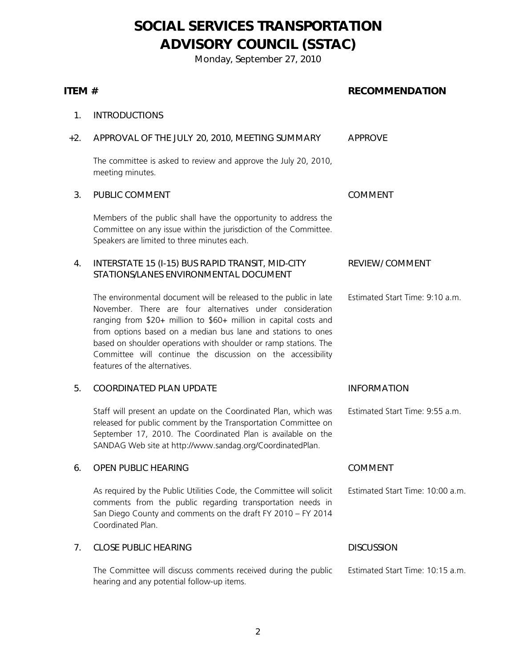## SOCIAL SERVICES TRANSPORTATION ADVISORY COUNCIL (SSTAC)

Monday, September 27, 2010

| ITEM # |                                                                                                                                                                                                                                                                                                                                                                                                                                        | <b>RECOMMENDATION</b>            |
|--------|----------------------------------------------------------------------------------------------------------------------------------------------------------------------------------------------------------------------------------------------------------------------------------------------------------------------------------------------------------------------------------------------------------------------------------------|----------------------------------|
| 1.     | <b>INTRODUCTIONS</b>                                                                                                                                                                                                                                                                                                                                                                                                                   |                                  |
| $+2.$  | APPROVAL OF THE JULY 20, 2010, MEETING SUMMARY                                                                                                                                                                                                                                                                                                                                                                                         | <b>APPROVE</b>                   |
|        | The committee is asked to review and approve the July 20, 2010,<br>meeting minutes.                                                                                                                                                                                                                                                                                                                                                    |                                  |
| 3.     | PUBLIC COMMENT                                                                                                                                                                                                                                                                                                                                                                                                                         | <b>COMMENT</b>                   |
|        | Members of the public shall have the opportunity to address the<br>Committee on any issue within the jurisdiction of the Committee.<br>Speakers are limited to three minutes each.                                                                                                                                                                                                                                                     |                                  |
| 4.     | INTERSTATE 15 (I-15) BUS RAPID TRANSIT, MID-CITY<br>STATIONS/LANES ENVIRONMENTAL DOCUMENT                                                                                                                                                                                                                                                                                                                                              | <b>REVIEW/ COMMENT</b>           |
|        | The environmental document will be released to the public in late<br>November. There are four alternatives under consideration<br>ranging from \$20+ million to \$60+ million in capital costs and<br>from options based on a median bus lane and stations to ones<br>based on shoulder operations with shoulder or ramp stations. The<br>Committee will continue the discussion on the accessibility<br>features of the alternatives. | Estimated Start Time: 9:10 a.m.  |
| 5.     | <b>COORDINATED PLAN UPDATE</b>                                                                                                                                                                                                                                                                                                                                                                                                         | <b>INFORMATION</b>               |
|        | Staff will present an update on the Coordinated Plan, which was<br>released for public comment by the Transportation Committee on<br>September 17, 2010. The Coordinated Plan is available on the<br>SANDAG Web site at http://www.sandag.org/CoordinatedPlan.                                                                                                                                                                         | Estimated Start Time: 9:55 a.m.  |
| 6.     | <b>OPEN PUBLIC HEARING</b>                                                                                                                                                                                                                                                                                                                                                                                                             | <b>COMMENT</b>                   |
|        | As required by the Public Utilities Code, the Committee will solicit<br>comments from the public regarding transportation needs in<br>San Diego County and comments on the draft FY 2010 - FY 2014<br>Coordinated Plan.                                                                                                                                                                                                                | Estimated Start Time: 10:00 a.m. |
| 7.     | <b>CLOSE PUBLIC HEARING</b>                                                                                                                                                                                                                                                                                                                                                                                                            | <b>DISCUSSION</b>                |
|        | The Committee will discuss comments received during the public<br>hearing and any potential follow-up items.                                                                                                                                                                                                                                                                                                                           | Estimated Start Time: 10:15 a.m. |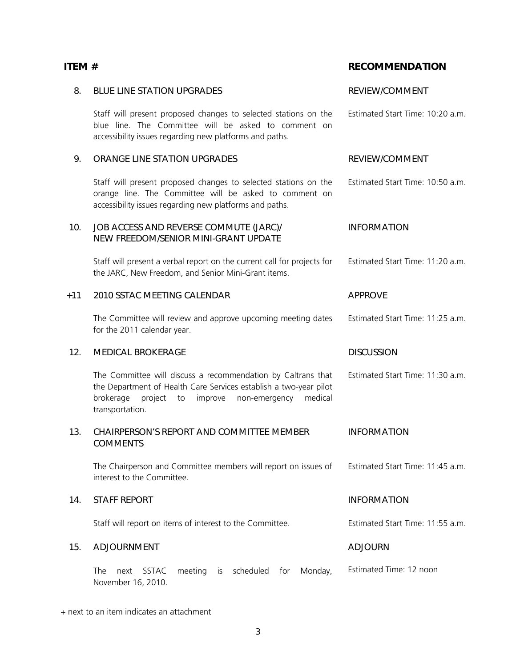| 8.    | <b>BLUE LINE STATION UPGRADES</b>                                                                                                                                                                                         | REVIEW/COMMENT                   |
|-------|---------------------------------------------------------------------------------------------------------------------------------------------------------------------------------------------------------------------------|----------------------------------|
|       | Staff will present proposed changes to selected stations on the<br>blue line. The Committee will be asked to comment on<br>accessibility issues regarding new platforms and paths.                                        | Estimated Start Time: 10:20 a.m. |
| 9.    | ORANGE LINE STATION UPGRADES                                                                                                                                                                                              | REVIEW/COMMENT                   |
|       | Staff will present proposed changes to selected stations on the<br>orange line. The Committee will be asked to comment on<br>accessibility issues regarding new platforms and paths.                                      | Estimated Start Time: 10:50 a.m. |
| 10.   | JOB ACCESS AND REVERSE COMMUTE (JARC)/<br>NEW FREEDOM/SENIOR MINI-GRANT UPDATE                                                                                                                                            | <b>INFORMATION</b>               |
|       | Staff will present a verbal report on the current call for projects for<br>the JARC, New Freedom, and Senior Mini-Grant items.                                                                                            | Estimated Start Time: 11:20 a.m. |
| $+11$ | 2010 SSTAC MEETING CALENDAR                                                                                                                                                                                               | <b>APPROVE</b>                   |
|       | The Committee will review and approve upcoming meeting dates<br>for the 2011 calendar year.                                                                                                                               | Estimated Start Time: 11:25 a.m. |
|       | <b>MEDICAL BROKERAGE</b>                                                                                                                                                                                                  | <b>DISCUSSION</b>                |
| 12.   |                                                                                                                                                                                                                           |                                  |
|       | The Committee will discuss a recommendation by Caltrans that<br>the Department of Health Care Services establish a two-year pilot<br>medical<br>brokerage<br>project<br>improve<br>non-emergency<br>to<br>transportation. | Estimated Start Time: 11:30 a.m. |
| 13.   | CHAIRPERSON'S REPORT AND COMMITTEE MEMBER<br><b>COMMENTS</b>                                                                                                                                                              | <b>INFORMATION</b>               |
|       | The Chairperson and Committee members will report on issues of<br>interest to the Committee.                                                                                                                              | Estimated Start Time: 11:45 a.m. |
| 14.   | <b>STAFF REPORT</b>                                                                                                                                                                                                       | <b>INFORMATION</b>               |
|       | Staff will report on items of interest to the Committee.                                                                                                                                                                  | Estimated Start Time: 11:55 a.m. |
| 15.   | <b>ADJOURNMENT</b>                                                                                                                                                                                                        | <b>ADJOURN</b>                   |

### + next to an item indicates an attachment

### ITEM # RECOMMENDATION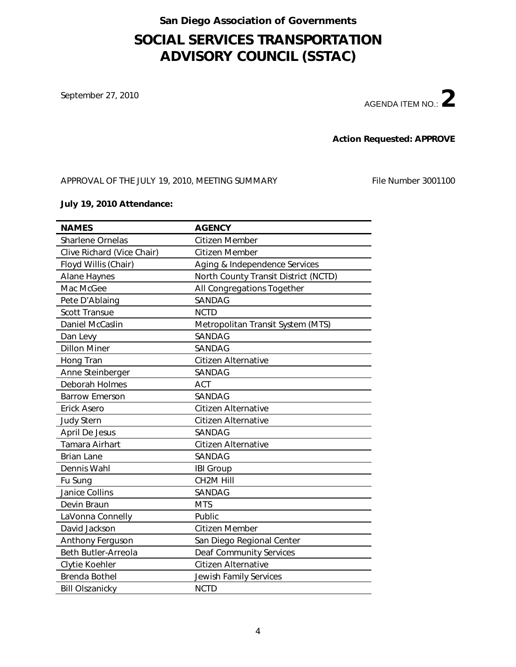### San Diego Association of Governments

### SOCIAL SERVICES TRANSPORTATION ADVISORY COUNCIL (SSTAC)

September 27, 2010



#### Action Requested: APPROVE

APPROVAL OF THE JULY 19, 2010, MEETING SUMMARY File Number 3001100

#### July 19, 2010 Attendance:

| <b>NAMES</b>               | <b>AGENCY</b>                        |
|----------------------------|--------------------------------------|
| <b>Sharlene Ornelas</b>    | Citizen Member                       |
| Clive Richard (Vice Chair) | Citizen Member                       |
| Floyd Willis (Chair)       | Aging & Independence Services        |
| <b>Alane Haynes</b>        | North County Transit District (NCTD) |
| Mac McGee                  | All Congregations Together           |
| Pete D'Ablaing             | SANDAG                               |
| <b>Scott Transue</b>       | <b>NCTD</b>                          |
| Daniel McCaslin            | Metropolitan Transit System (MTS)    |
| Dan Levy                   | SANDAG                               |
| <b>Dillon Miner</b>        | SANDAG                               |
| Hong Tran                  | <b>Citizen Alternative</b>           |
| Anne Steinberger           | SANDAG                               |
| Deborah Holmes             | <b>ACT</b>                           |
| <b>Barrow Emerson</b>      | SANDAG                               |
| <b>Erick Asero</b>         | Citizen Alternative                  |
| <b>Judy Stern</b>          | Citizen Alternative                  |
| April De Jesus             | SANDAG                               |
| Tamara Airhart             | Citizen Alternative                  |
| <b>Brian Lane</b>          | SANDAG                               |
| Dennis Wahl                | <b>IBI Group</b>                     |
| Fu Sung                    | CH2M Hill                            |
| <b>Janice Collins</b>      | SANDAG                               |
| Devin Braun                | <b>MTS</b>                           |
| LaVonna Connelly           | Public                               |
| David Jackson              | Citizen Member                       |
| Anthony Ferguson           | San Diego Regional Center            |
| Beth Butler-Arreola        | <b>Deaf Community Services</b>       |
| Clytie Koehler             | <b>Citizen Alternative</b>           |
| <b>Brenda Bothel</b>       | Jewish Family Services               |
| <b>Bill Olszanicky</b>     | <b>NCTD</b>                          |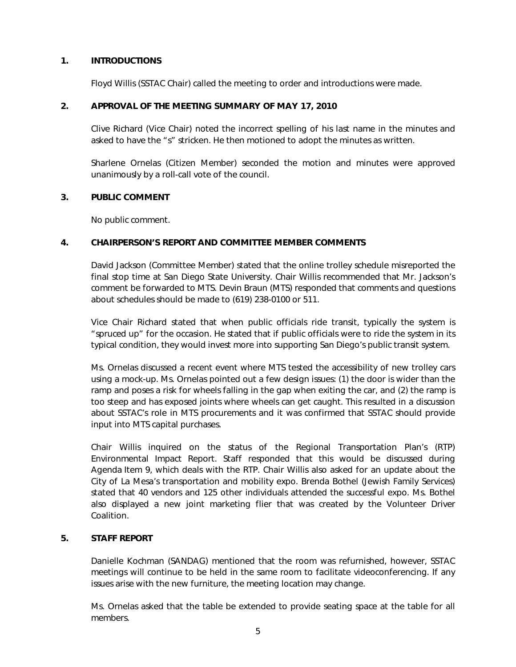#### 1. INTRODUCTIONS

Floyd Willis (SSTAC Chair) called the meeting to order and introductions were made.

#### 2. APPROVAL OF THE MEETING SUMMARY OF MAY 17, 2010

Clive Richard (Vice Chair) noted the incorrect spelling of his last name in the minutes and asked to have the "s" stricken. He then motioned to adopt the minutes as written.

Sharlene Ornelas (Citizen Member) seconded the motion and minutes were approved unanimously by a roll-call vote of the council.

#### 3. PUBLIC COMMENT

No public comment.

#### 4. CHAIRPERSON'S REPORT AND COMMITTEE MEMBER COMMENTS

David Jackson (Committee Member) stated that the online trolley schedule misreported the final stop time at San Diego State University. Chair Willis recommended that Mr. Jackson's comment be forwarded to MTS. Devin Braun (MTS) responded that comments and questions about schedules should be made to (619) 238-0100 or 511.

Vice Chair Richard stated that when public officials ride transit, typically the system is "spruced up" for the occasion. He stated that if public officials were to ride the system in its typical condition, they would invest more into supporting San Diego's public transit system.

Ms. Ornelas discussed a recent event where MTS tested the accessibility of new trolley cars using a mock-up. Ms. Ornelas pointed out a few design issues: (1) the door is wider than the ramp and poses a risk for wheels falling in the gap when exiting the car, and (2) the ramp is too steep and has exposed joints where wheels can get caught. This resulted in a discussion about SSTAC's role in MTS procurements and it was confirmed that SSTAC should provide input into MTS capital purchases.

Chair Willis inquired on the status of the Regional Transportation Plan's (RTP) Environmental Impact Report. Staff responded that this would be discussed during Agenda Item 9, which deals with the RTP. Chair Willis also asked for an update about the City of La Mesa's transportation and mobility expo. Brenda Bothel (Jewish Family Services) stated that 40 vendors and 125 other individuals attended the successful expo. Ms. Bothel also displayed a new joint marketing flier that was created by the Volunteer Driver Coalition.

#### 5. STAFF REPORT

Danielle Kochman (SANDAG) mentioned that the room was refurnished, however, SSTAC meetings will continue to be held in the same room to facilitate videoconferencing. If any issues arise with the new furniture, the meeting location may change.

Ms. Ornelas asked that the table be extended to provide seating space at the table for all members.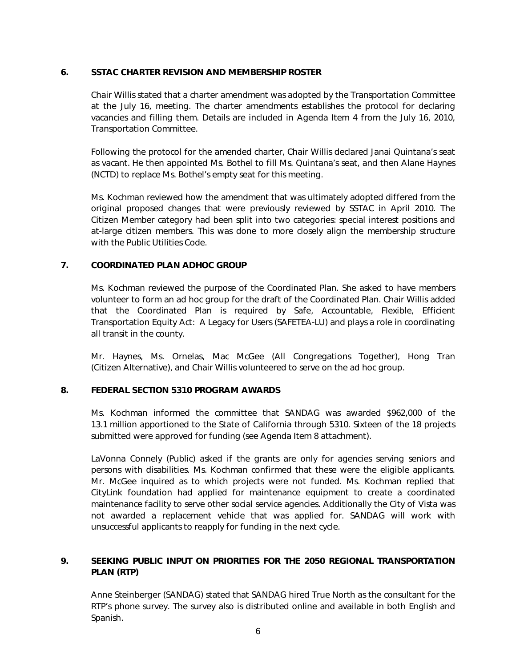#### 6. SSTAC CHARTER REVISION AND MEMBERSHIP ROSTER

Chair Willis stated that a charter amendment was adopted by the Transportation Committee at the July 16, meeting. The charter amendments establishes the protocol for declaring vacancies and filling them. Details are included in Agenda Item 4 from the July 16, 2010, Transportation Committee.

Following the protocol for the amended charter, Chair Willis declared Janai Quintana's seat as vacant. He then appointed Ms. Bothel to fill Ms. Quintana's seat, and then Alane Haynes (NCTD) to replace Ms. Bothel's empty seat for this meeting.

Ms. Kochman reviewed how the amendment that was ultimately adopted differed from the original proposed changes that were previously reviewed by SSTAC in April 2010. The Citizen Member category had been split into two categories: special interest positions and at-large citizen members. This was done to more closely align the membership structure with the Public Utilities Code.

#### 7. COORDINATED PLAN ADHOC GROUP

Ms. Kochman reviewed the purpose of the Coordinated Plan. She asked to have members volunteer to form an ad hoc group for the draft of the Coordinated Plan. Chair Willis added that the Coordinated Plan is required by Safe, Accountable, Flexible, Efficient Transportation Equity Act: A Legacy for Users (SAFETEA-LU) and plays a role in coordinating all transit in the county.

Mr. Haynes, Ms. Ornelas, Mac McGee (All Congregations Together), Hong Tran (Citizen Alternative), and Chair Willis volunteered to serve on the ad hoc group.

#### *8.* FEDERAL SECTION 5310 PROGRAM AWARDS

Ms. Kochman informed the committee that SANDAG was awarded \$962,000 of the 13.1 million apportioned to the State of California through 5310. Sixteen of the 18 projects submitted were approved for funding (see Agenda Item 8 attachment).

LaVonna Connely (Public) asked if the grants are only for agencies serving seniors and persons with disabilities. Ms. Kochman confirmed that these were the eligible applicants. Mr. McGee inquired as to which projects were not funded. Ms. Kochman replied that CityLink foundation had applied for maintenance equipment to create a coordinated maintenance facility to serve other social service agencies. Additionally the City of Vista was not awarded a replacement vehicle that was applied for. SANDAG will work with unsuccessful applicants to reapply for funding in the next cycle.

#### 9. SEEKING PUBLIC INPUT ON PRIORITIES FOR THE 2050 REGIONAL TRANSPORTATION PLAN (RTP)

Anne Steinberger (SANDAG) stated that SANDAG hired True North as the consultant for the RTP's phone survey. The survey also is distributed online and available in both English and Spanish.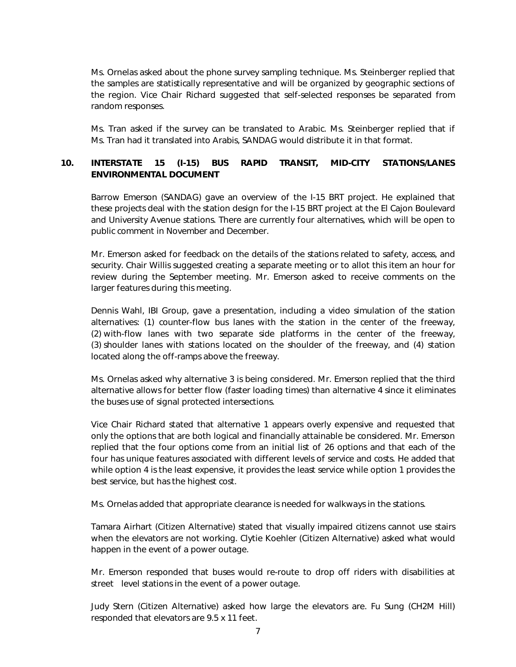Ms. Ornelas asked about the phone survey sampling technique. Ms. Steinberger replied that the samples are statistically representative and will be organized by geographic sections of the region. Vice Chair Richard suggested that self-selected responses be separated from random responses.

Ms. Tran asked if the survey can be translated to Arabic. Ms. Steinberger replied that if Ms. Tran had it translated into Arabis, SANDAG would distribute it in that format.

#### 10. INTERSTATE 15 (I-15) BUS RAPID TRANSIT, MID-CITY STATIONS/LANES ENVIRONMENTAL DOCUMENT

Barrow Emerson (SANDAG) gave an overview of the I-15 BRT project. He explained that these projects deal with the station design for the I-15 BRT project at the El Cajon Boulevard and University Avenue stations. There are currently four alternatives, which will be open to public comment in November and December.

Mr. Emerson asked for feedback on the details of the stations related to safety, access, and security. Chair Willis suggested creating a separate meeting or to allot this item an hour for review during the September meeting. Mr. Emerson asked to receive comments on the larger features during this meeting.

Dennis Wahl, IBI Group, gave a presentation, including a video simulation of the station alternatives: (1) counter-flow bus lanes with the station in the center of the freeway, (2) with-flow lanes with two separate side platforms in the center of the freeway, (3) shoulder lanes with stations located on the shoulder of the freeway, and (4) station located along the off-ramps above the freeway.

Ms. Ornelas asked why alternative 3 is being considered. Mr. Emerson replied that the third alternative allows for better flow (faster loading times) than alternative 4 since it eliminates the buses use of signal protected intersections.

Vice Chair Richard stated that alternative 1 appears overly expensive and requested that only the options that are both logical and financially attainable be considered. Mr. Emerson replied that the four options come from an initial list of 26 options and that each of the four has unique features associated with different levels of service and costs. He added that while option 4 is the least expensive, it provides the least service while option 1 provides the best service, but has the highest cost.

Ms. Ornelas added that appropriate clearance is needed for walkways in the stations.

Tamara Airhart (Citizen Alternative) stated that visually impaired citizens cannot use stairs when the elevators are not working. Clytie Koehler (Citizen Alternative) asked what would happen in the event of a power outage.

Mr. Emerson responded that buses would re-route to drop off riders with disabilities at street level stations in the event of a power outage.

Judy Stern (Citizen Alternative) asked how large the elevators are. Fu Sung (CH2M Hill) responded that elevators are 9.5 x 11 feet.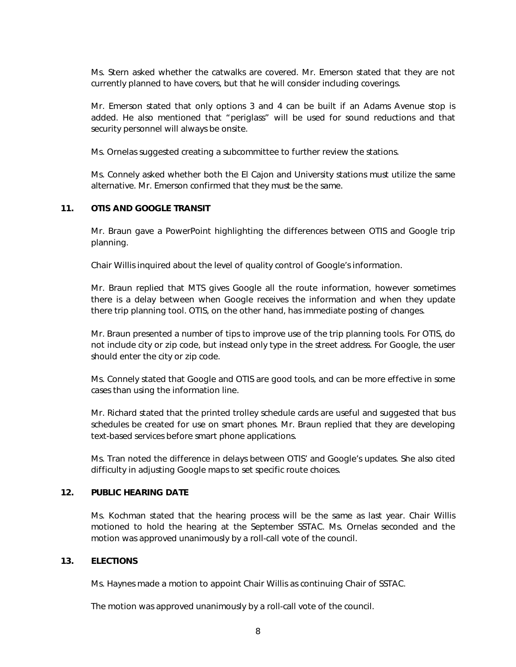Ms. Stern asked whether the catwalks are covered. Mr. Emerson stated that they are not currently planned to have covers, but that he will consider including coverings.

Mr. Emerson stated that only options 3 and 4 can be built if an Adams Avenue stop is added. He also mentioned that "periglass" will be used for sound reductions and that security personnel will always be onsite.

Ms. Ornelas suggested creating a subcommittee to further review the stations.

Ms. Connely asked whether both the El Cajon and University stations must utilize the same alternative. Mr. Emerson confirmed that they must be the same.

#### 11. OTIS AND GOOGLE TRANSIT

Mr. Braun gave a PowerPoint highlighting the differences between OTIS and Google trip planning.

Chair Willis inquired about the level of quality control of Google's information.

Mr. Braun replied that MTS gives Google all the route information, however sometimes there is a delay between when Google receives the information and when they update there trip planning tool. OTIS, on the other hand, has immediate posting of changes.

Mr. Braun presented a number of tips to improve use of the trip planning tools. For OTIS, do not include city or zip code, but instead only type in the street address. For Google, the user should enter the city or zip code.

Ms. Connely stated that Google and OTIS are good tools, and can be more effective in some cases than using the information line.

Mr. Richard stated that the printed trolley schedule cards are useful and suggested that bus schedules be created for use on smart phones. Mr. Braun replied that they are developing text-based services before smart phone applications.

Ms. Tran noted the difference in delays between OTIS' and Google's updates. She also cited difficulty in adjusting Google maps to set specific route choices.

#### 12. PUBLIC HEARING DATE

Ms. Kochman stated that the hearing process will be the same as last year. Chair Willis motioned to hold the hearing at the September SSTAC. Ms. Ornelas seconded and the motion was approved unanimously by a roll-call vote of the council.

#### 13. ELECTIONS

Ms. Haynes made a motion to appoint Chair Willis as continuing Chair of SSTAC.

The motion was approved unanimously by a roll-call vote of the council.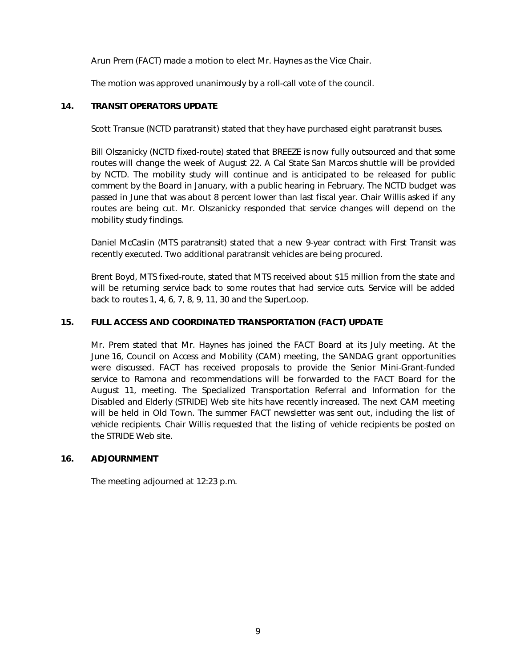Arun Prem (FACT) made a motion to elect Mr. Haynes as the Vice Chair.

The motion was approved unanimously by a roll-call vote of the council.

#### 14. TRANSIT OPERATORS UPDATE

Scott Transue (NCTD paratransit) stated that they have purchased eight paratransit buses.

Bill Olszanicky (NCTD fixed-route) stated that BREEZE is now fully outsourced and that some routes will change the week of August 22. A Cal State San Marcos shuttle will be provided by NCTD. The mobility study will continue and is anticipated to be released for public comment by the Board in January, with a public hearing in February. The NCTD budget was passed in June that was about 8 percent lower than last fiscal year. Chair Willis asked if any routes are being cut. Mr. Olszanicky responded that service changes will depend on the mobility study findings.

Daniel McCaslin (MTS paratransit) stated that a new 9-year contract with First Transit was recently executed. Two additional paratransit vehicles are being procured.

Brent Boyd, MTS fixed-route, stated that MTS received about \$15 million from the state and will be returning service back to some routes that had service cuts. Service will be added back to routes 1, 4, 6, 7, 8, 9, 11, 30 and the SuperLoop.

#### 15. FULL ACCESS AND COORDINATED TRANSPORTATION (FACT) UPDATE

Mr. Prem stated that Mr. Haynes has joined the FACT Board at its July meeting. At the June 16, Council on Access and Mobility (CAM) meeting, the SANDAG grant opportunities were discussed. FACT has received proposals to provide the Senior Mini-Grant-funded service to Ramona and recommendations will be forwarded to the FACT Board for the August 11, meeting. The Specialized Transportation Referral and Information for the Disabled and Elderly (STRIDE) Web site hits have recently increased. The next CAM meeting will be held in Old Town. The summer FACT newsletter was sent out, including the list of vehicle recipients. Chair Willis requested that the listing of vehicle recipients be posted on the STRIDE Web site.

#### 16. ADJOURNMENT

The meeting adjourned at 12:23 p.m.